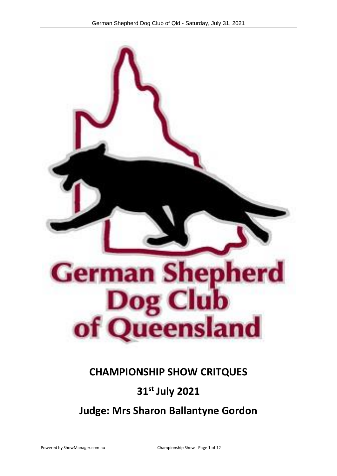

# **CHAMPIONSHIP SHOW CRITQUES**

# **31 st July 2021**

**Judge: Mrs Sharon Ballantyne Gordon**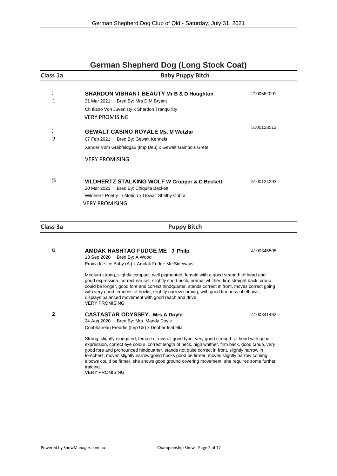| <b>German Shepherd Dog (Long Stock Coat)</b> |                                                                                                                                                                                                                                                                                                                                                                                                                                                                                                                                    |            |  |  |
|----------------------------------------------|------------------------------------------------------------------------------------------------------------------------------------------------------------------------------------------------------------------------------------------------------------------------------------------------------------------------------------------------------------------------------------------------------------------------------------------------------------------------------------------------------------------------------------|------------|--|--|
| Class 1a                                     | <b>Baby Puppy Bitch</b>                                                                                                                                                                                                                                                                                                                                                                                                                                                                                                            |            |  |  |
| $\blacksquare$<br>$\mathbf 1$                | <b>SHARDON VIBRANT BEAUTY Mr B &amp; D Houghton</b><br>31 Mar 2021<br>Bred By: Mrs D M Bryant<br>Ch Iliano Von Juvenisty x Shardon Tranquillity<br><b>VERY PROMISING</b>                                                                                                                                                                                                                                                                                                                                                           | 2100562091 |  |  |
| $\pmb{\iota}$<br>$\overline{2}$              | <b>GEWALT CASINO ROYALE Ms. M Wetzlar</b><br>07 Feb 2021<br>Bred By: Gewalt Kennels<br>Xander Vom Grabfeldgau (Imp Deu) x Gewalt Gambols Gretel<br><b>VERY PROMISING</b>                                                                                                                                                                                                                                                                                                                                                           | 5100123512 |  |  |
| 3                                            | <b>VILDHERTZ STALKING WOLF W Cropper &amp; C Beckett</b><br>20 Mar 2021<br>Bred By: Chiquita Beckett<br>Wildhertz Poetry In Motion x Gewalt Shelby Cobra<br><b>VERY PROMISING</b>                                                                                                                                                                                                                                                                                                                                                  | 5100124293 |  |  |
| <b>Class 3a</b>                              | <b>Puppy Bitch</b>                                                                                                                                                                                                                                                                                                                                                                                                                                                                                                                 |            |  |  |
| 11                                           | <b>AMDAK HASHTAG FUDGE ME J Philp</b><br>18 Sep 2020<br>Bred By: A Wood<br>Eroica Ice Ice Baby (Ai) x Amdak Fudge Me Sideways                                                                                                                                                                                                                                                                                                                                                                                                      | 4100345505 |  |  |
|                                              | Medium strong, slightly compact, well pigmented, female with a good strength of head and<br>good expression, correct ear set, slightly short neck, normal whither, firm straight back, croup<br>could be longer, good fore and correct hindquarter, stands correct in front, moves correct going<br>with very good firmness of hocks, slightly narrow coming, with good firmness of elbows,<br>displays balanced movement with good reach and drive.<br><b>VERY PROMISING</b>                                                      |            |  |  |
|                                              | <b>CASTASTAR ODYSSEY. Mrs A Doyle</b><br>24 Aug 2020 Bred By: Mrs. Mandy Doyle<br>Conbhairean Freddie (Imp Uk) x Debbar Isabella                                                                                                                                                                                                                                                                                                                                                                                                   | 4100341462 |  |  |
|                                              | Strong, slightly elongated, female of overall good type, very good strength of head with good<br>expression, correct eye colour, correct length of neck, high whither, firm back, good croup, very<br>good fore and pronounced hindquarter, stands not quite correct in front, slightly narrow in<br>forechest, moves slightly narrow going hocks good be firmer, moves slightly narrow coming<br>elbows could be firmer, she shows good ground covering movement, she requires some further<br>training.<br><b>VERY PROMISING</b> |            |  |  |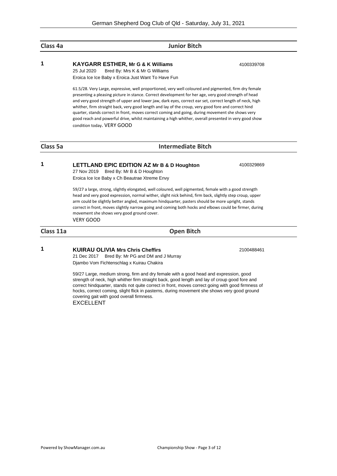### **Class 4a Junior Bitch**

25 Jul 2020 Bred By: Mrs K & Mr G Williams Eroica Ice Ice Baby x Eroica Just Want To Have Fun

61.5/28. Very Large, expressive, well proportioned, very well coloured and pigmented, firm dry female presenting a pleasing picture in stance. Correct development for her age, very good strength of head and very good strength of upper and lower jaw, dark eyes, correct ear set, correct length of neck, high whither, firm straight back, very good length and lay of the croup, very good fore and correct hind quarter, stands correct in front, moves correct coming and going, during movement she shows very good reach and powerful drive, whilst maintaining a high whither, overall presented in very good show condition today. VERY GOOD

### **Class 5a Intermediate Bitch**

**1 LETTLAND EPIC EDITION AZ Mr B & D Houghton** 4100329869

27 Nov 2019 Bred By: Mr B & D Houghton Eroica Ice Ice Baby x Ch Beautrae Xtreme Envy

59/27 a large, strong, slightly elongated, well coloured, well pigmented, female with a good strength head and very good expression, normal wither, slight nick behind, firm back, slightly step croup, upper arm could be slightly better angled, maximum hindquarter, pasters should be more upright, stands correct in front, moves slightly narrow going and coming both hocks and elbows could be firmer, during movement she shows very good ground cover. VERY GOOD

**Class 11a Open Bitch**

**1 KUIRAU OLIVIA Mrs Chris Cheffirs** 2100488461

21 Dec 2017 Bred By: Mr PG and DM and J Murray Djambo Vom Fichtenschlag x Kuirau Chakira

59/27 Large, medium strong, firm and dry female with a good head and expression, good strength of neck, high whither firm straight back, good length and lay of croup good fore and correct hindquarter, stands not quite correct in front, moves correct going with good firmness of hocks, correct coming, slight flick in pasterns, during movement she shows very good ground covering gait with good overall firmness. EXCELLENT

**1 KAYGARR ESTHER, Mr G & K Williams** 4100339708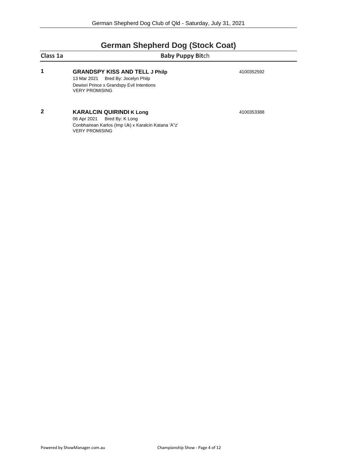# **German Shepherd Dog (Stock Coat)**

| Class 1a<br>1 | <b>Baby Puppy Bitch</b>                                                                                                                           |            |  |
|---------------|---------------------------------------------------------------------------------------------------------------------------------------------------|------------|--|
|               | <b>GRANDSPY KISS AND TELL J Philp</b><br>13 Mar 2021 Bred By: Jocelyn Philp<br>Dewisri Prince x Grandspy Evil Intentions<br><b>VERY PROMISING</b> | 4100352592 |  |
| 2             | <b>KARALCIN QUIRINDI K Long</b><br>06 Apr 2021 Bred By: K Long<br>Conbhairean Karlos (Imp Uk) x Karalcin Katana 'A"z'<br><b>VERY PROMISING</b>    | 4100353388 |  |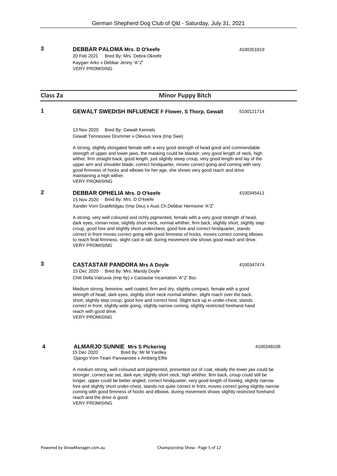### **3 DEBBAR PALOMA Mrs. D O'keefe** 4100351819

20 Feb 2021 Bred By: Mrs. Debra Okeefe Kaygarr Arko x Debbar Jenny 'A"Z' VERY PROMISING

### **Class 2a Minor Puppy Bitch**

### **1 GEWALT SWEDISH INFLUENCE F Flower, S Thorp, Gewalt** 5100121714

13 Nov 2020 Bred By: Gewalt Kennels

Gewalt Tennessee Drummer x Olexius Vera (Imp Swe)

A strong, slightly elongated female with a very good strength of head good and commendable strength of upper and lower jaws, the masking could be blacker, very good length of neck, high wither, firm straight back, good length, just slightly steep croup, very good length and lay of the upper arm and shoulder blade, correct hindquarter, moves correct going and coming with very good firmness of hocks and elbows for her age, she shows very good reach and drive maintaining a high wither. VERY PROMISING

### **2 DEBBAR OPHELIA Mrs. D O'keefe** 4100345411

15 Nov 2020 Bred By: Mrs. D O'keefe

Xander Vom Grabfeldgau (Imp Deu) x Aust Ch.Debbar Hermione 'A"Z'

A strong, very well coloured and richly pigmented, female with a very good strength of head, dark eyes, roman nose, slightly short neck, normal whither, firm back, slightly short, slightly step croup, good fore and slightly short underchest, good fore and correct hindquarter, stands correct in front moves correct going with good firmness of hocks, moves correct coming elbows to reach final firmness, slight cast in tail, during movement she shows good reach and drive. VERY PROMISING

### **3 CASTASTAR PANDORA Mrs A Doyle** 4100347474

15 Dec 2020 Bred By: Mrs. Mandy Doyle Chili Della Valcuvia (Imp Ity) x Castastar Incantation 'A''Z' Bsc

Medium strong, feminine, well coated, firm and dry, slightly compact, female with a good strength of head, dark eyes, slightly short neck normal whither, slight roach over the back, short, slightly step croup, good fore and correct hind. Slight tuck up in under-chest, stands correct in front, slightly wide going, slightly narrow coming, slightly restricted forehand hand reach with good drive. VERY PROMISING

### **4 ALMARJO SUNNIE Mrs S Pickering 1100348108 4100348108** 15 Dec 2020 Bred By: Mr M Yardley

Django Vom Team Panoiansee x Amberg Effie

A medium strong, well coloured and pigmented, presented out of coat, ideally the lower jaw could be stronger, correct ear set, dark eye, slightly short neck, high whither, firm back, croup could still be longer, upper could be better angled, correct hindquarter, very good length of foreleg, slightly narrow fore and slightly short under-chest, stands not quite correct in front, moves correct going slightly narrow coming with good firmness of hocks and elbows, during movement shows slightly restricted forehand reach and the drive is good. VERY PROMISING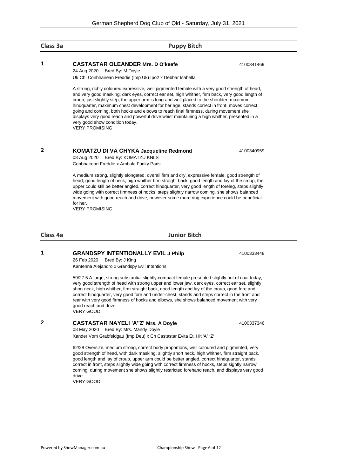### **Class 3a Puppy Bitch**

### **1 CASTASTAR OLEANDER Mrs. D O'keefe** 4100341469

24 Aug 2020 Bred By: M Doyle Uk Ch. Conbhairean Freddie (Imp Uk) Ipo2 x Debbar Isabella

A strong, richly coloured expressive, well pigmented female with a very good strength of head, and very good masking, dark eyes, correct ear set, high whither, firm back, very good length of croup, just slightly step, the upper arm is long and well placed to the shoulder, maximum hindquarter, maximum chest development for her age, stands correct in front, moves correct going and coming, both hocks and elbows to reach final firmness, during movement she displays very good reach and powerful drive whist maintaining a high whither, presented in a very good show condition today. VERY PROMISING

### **2 KOMATZU DI VA CHYKA** Jacqueline Redmond 4100340959

08 Aug 2020 Bred By: KOMATZU KNLS Conbhairean Freddie x Ambala Funky Paris

A medium strong, slightly elongated, overall firm and dry, expressive female, good strength of head, good length of neck, high whither firm straight back, good length and lay of the croup, the upper could still be better angled, correct hindquarter, very good length of foreleg, steps slightly wide going with correct firmness of hocks, steps slightly narrow coming, she shows balanced movement with good reach and drive, however some more ring experience could be beneficial for her.

VERY PROMISING

**Class 4a Junior Bitch**

**1 GRANDSPY INTENTIONALLY EVIL J Philp** 4100333448

26 Feb 2020 Bred By: J King Kantenna Alejandro x Grandspy Evil Intentions

59/27.5 A large, strong substantial slightly compact female presented slightly out of coat today, very good strength of head with strong upper and lower jaw, dark eyes, correct ear set, slightly short neck, high whither, firm straight back, good length and lay of the croup, good fore and correct hindquarter, very good fore and under-chest, stands and steps correct in the front and rear with very good firmness of hocks and elbows, she shows balanced movement with very good reach and drive. VERY GOOD

### **2 CASTASTAR NAYELI 'A''Z' Mrs. A Doyle** 4100337346

08 May 2020 Bred By: Mrs. Mandy Doyle Xander Vom Grabfeldgau (Imp Deu) x Ch Castastar Evita Et. Hit 'A' 'Z'

62/28 Oversize, medium strong, correct body proportions, well coloured and pigmented, very good strength of head, with dark masking, slightly short neck, high whither, firm straight back, good length and lay of croup, upper arm could be better angled, correct hindquarter, stands correct in front, steps slightly wide going with correct firmness of hocks, steps sightly narrow coming, during movement she shows slightly restricted forehand reach, and displays very good drive.

VERY GOOD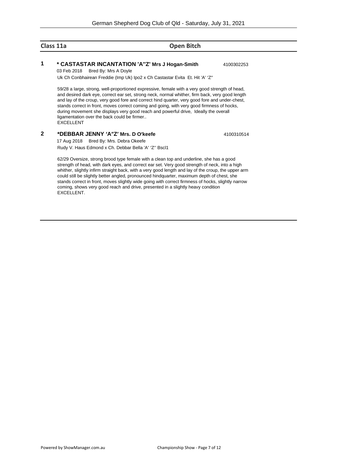### **Class 11a Open Bitch**

### **1 \* CASTASTAR INCANTATION 'A''Z' Mrs J Hogan-Smith** 4100302253

03 Feb 2018 Bred By: Mrs A Doyle

Uk Ch Conbhairean Freddie (Imp Uk) Ipo2 x Ch Castastar Evita Et. Hit 'A' 'Z"

59/28 a large, strong, well-proportioned expressive, female with a very good strength of head, and desired dark eye, correct ear set, strong neck, normal whither, firm back, very good length and lay of the croup, very good fore and correct hind quarter, very good fore and under-chest, stands correct in front, moves correct coming and going, with very good firmness of hocks, during movement she displays very good reach and powerful drive, Ideally the overall ligamentation over the back could be firmer.. EXCELLENT

### **2 \*DEBBAR JENNY 'A"Z' Mrs. D O'keefe** 4100310514

17 Aug 2018 Bred By: Mrs. Debra Okeefe Rudy V. Haus Edmond x Ch. Debbar Bella 'A' 'Z'' Bscl1

62/29 Oversize, strong brood type female with a clean top and underline, she has a good strength of head, with dark eyes, and correct ear set. Very good strength of neck, into a high whither, slightly infirm straight back, with a very good length and lay of the croup, the upper arm could still be slightly better angled, pronounced hindquarter, maximum depth of chest, she stands correct in front, moves slightly wide going with correct firmness of hocks, slightly narrow coming, shows very good reach and drive, presented in a slightly heavy condition EXCELLENT.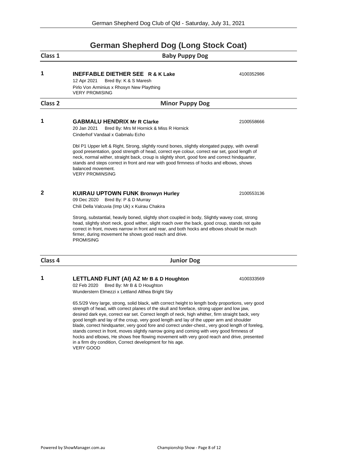## **German Shepherd Dog (Long Stock Coat)**

| Class 1            | <b>Baby Puppy Dog</b>                                                                                                                                                                                                                                                                                                                                                                                                                           |            |  |  |
|--------------------|-------------------------------------------------------------------------------------------------------------------------------------------------------------------------------------------------------------------------------------------------------------------------------------------------------------------------------------------------------------------------------------------------------------------------------------------------|------------|--|--|
| 1                  | <b>INEFFABLE DIETHER SEE R &amp; K Lake</b><br>12 Apr 2021<br>Bred By: K & S Maresh<br>Pirlo Von Arminius x Rhosyn New Plaything<br><b>VERY PROMISING</b>                                                                                                                                                                                                                                                                                       | 4100352986 |  |  |
| Class <sub>2</sub> | <b>Minor Puppy Dog</b>                                                                                                                                                                                                                                                                                                                                                                                                                          |            |  |  |
| 1                  | <b>GABMALU HENDRIX Mr R Clarke</b><br>20 Jan 2021<br>Bred By: Mrs M Hornick & Miss R Hornick<br>Cinderhof Vandaal x Gabmalu Echo                                                                                                                                                                                                                                                                                                                | 2100558666 |  |  |
|                    | Dbl P1 Upper left & Right, Strong, slightly round bones, slightly elongated puppy, with overall<br>good presentation, good strength of head, correct eye colour, correct ear set, good length of<br>neck, normal wither, straight back, croup is slightly short, good fore and correct hindquarter,<br>stands and steps correct in front and rear with good firmness of hocks and elbows, shows<br>balanced movement.<br><b>VERY PROMINSING</b> |            |  |  |
| $\mathbf{2}$       | <b>KUIRAU UPTOWN FUNK Bronwyn Hurley</b><br>09 Dec 2020 Bred By: P & D Murray<br>Chili Della Valcuvia (Imp Uk) x Kuirau Chakira                                                                                                                                                                                                                                                                                                                 | 2100553136 |  |  |
|                    | Strong, substantial, heavily boned, slightly short coupled in body, Slightly wavey coat, strong<br>head, slightly short neck, good wither, slight roach over the back, good croup, stands not quite<br>correct in front, moves narrow in front and rear, and both hocks and elbows should be much<br>firmer, during movement he shows good reach and drive.<br><b>PROMISING</b>                                                                 |            |  |  |
| Class 4            | <b>Junior Dog</b>                                                                                                                                                                                                                                                                                                                                                                                                                               |            |  |  |

### **1 LETTLAND FLINT (AI) AZ Mr B & D Houghton** 4100333569

02 Feb 2020 Bred By: Mr B & D Houghton Wunderstern Elmezzi x Lettland Althea Bright Sky

65.5/29 Very large, strong, solid black, with correct height to length body proportions, very good strength of head, with correct planes of the skull and foreface, strong upper and low jaw, desired dark eye, correct ear set. Correct length of neck, high whither, firm straight back, very good length and lay of the croup, very good length and lay of the upper arm and shoulder blade, correct hindquarter, very good fore and correct under-chest., very good length of foreleg, stands correct in front, moves slightly narrow going and coming with very good firmness of hocks and elbows, He shows free flowing movement with very good reach and drive, presented in a firm dry condition, Correct development for his age. VERY GOOD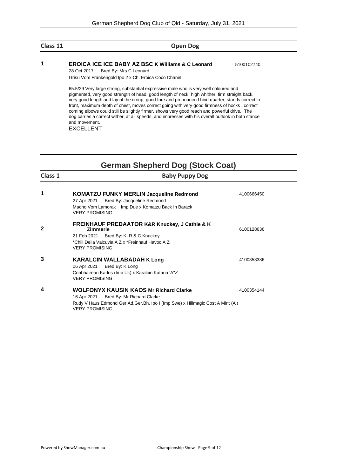### **Class 11 Open Dog**

### **1 EROICA ICE ICE BABY AZ BSC K Williams & C Leonard** 5100102740

28 Oct 2017 Bred By: Mrs C Leonard Grisu Vom Frankengold Ipo 2 x Ch. Eroica Coco Chanel

65.5/29 Very large strong, substantial expressive male who is very well coloured and pigmented, very good strength of head, good length of neck, high whither, firm straight back, very good length and lay of the croup, good fore and pronounced hind quarter, stands correct in front, maximum depth of chest, moves correct going with very good firmness of hocks , correct coming elbows could still be slightly firmer, shows very good reach and powerful drive, The dog carries a correct wither, at all speeds, and impresses with his overall outlook in both stance and movement.

EXCELLENT

## **German Shepherd Dog (Stock Coat)**

| Class 1      | <b>Baby Puppy Dog</b>                                                                                                                                                                                 |            |
|--------------|-------------------------------------------------------------------------------------------------------------------------------------------------------------------------------------------------------|------------|
| 1            | <b>KOMATZU FUNKY MERLIN Jacqueline Redmond</b><br>27 Apr 2021 Bred By: Jacqueline Redmond<br>Macho Vom Lamorak Imp Due x Komatzu Back In Barack<br><b>VERY PROMISING</b>                              | 4100666450 |
| $\mathbf{2}$ | <b>FREINHAUF PREDAATOR K&amp;R Knuckey, J Cathie &amp; K</b><br><b>Zimmerle</b><br>21 Feb 2021 Bred By: K, R & C Knuckey<br>*Chili Della Valcuvia A Z x *Freinhauf Havoc A Z<br><b>VERY PROMISING</b> | 6100128636 |
| 3            | <b>KARALCIN WALLABADAH K Long</b><br>06 Apr 2021 Bred By: K Long<br>Conbhairean Karlos (Imp Uk) x Karalcin Katana 'A"z'<br><b>VERY PROMISING</b>                                                      | 4100353386 |
| 4            | <b>WOLFONYX KAUSIN KAOS Mr Richard Clarke</b><br>16 Apr 2021 Bred By: Mr Richard Clarke<br>Rudy V Haus Edmond Ger.Ad.Ger.Bh. Ipo I (Imp Swe) x Hillmagic Cost A Mint (Ai)<br><b>VERY PROMISING</b>    | 4100354144 |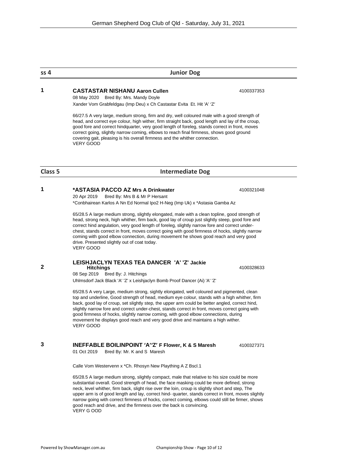### **1 CASTASTAR NISHANU Aaron Cullen** 4100337353

08 May 2020 Bred By: Mrs. Mandy Doyle Xander Vom Grabfeldgau (Imp Deu) x Ch Castastar Evita Et. Hit 'A' 'Z'

66/27.5 A very large, medium strong, firm and dry, well coloured male with a good strength of head, and correct eye colour, high wither, firm straight back, good length and lay of the croup, good fore and correct hindquarter, very good length of foreleg, stands correct in front, moves correct going, slightly narrow coming, elbows to reach final firmness, shows good ground covering gait, pleasing is his overall firmness and the whither connection. VERY GOOD

### **Class 5 Intermediate Dog**

### **1 \*ASTASIA PACCO AZ Mrs A Drinkwater** 4100321048

20 Apr 2019 Bred By: Mrs B & Mr P Hersant

\*Conbhairean Karlos A Nn Ed Normal Ipo2 H-Neg (Imp Uk) x \*Astasia Gamba Az

65/28.5 A large medium strong, slightly elongated, male with a clean topline, good strength of head, strong neck, high whither, firm back, good lay of croup just slightly steep, good fore and correct hind angulation, very good length of foreleg, slightly narrow fore and correct underchest, stands correct in front, moves correct going with good firmness of hocks, slightly narrow coming with good elbow connection, during movement he shows good reach and very good drive. Presented slightly out of coat today. VERY GOOD

### **LEISHJACLYN TEXAS TEA DANCER 'A' 'Z' Jackie Hitchings** 4100328633

08 Sep 2019 Bred By: J. Hitchings Uhlmsdorf Jack Black 'A' 'Z' x Leishjaclyn Bomb Proof Dancer (Ai) 'A' 'Z'

65/28.5 A very Large, medium strong, sightly elongated, well coloured and pigmented, clean top and underline, Good strength of head, medium eye colour, stands with a high whither, firm back, good lay of croup, set slightly step, the upper arm could be better angled, correct hind, slightly narrow fore and correct under-chest, stands correct in front, moves correct going with good firmness of hocks, slightly narrow coming, with good elbow connections, during movement he displays good reach and very good drive and maintains a high wither. VERY GOOD

### **3 INEFFABLE BOILINPOINT 'A''Z' F Flower, K & S Maresh** 4100327371

01 Oct 2019 Bred By: Mr. K and S Maresh

Calle Vom Westervenn x \*Ch. Rhosyn New Plaything A Z Bscl.1

65/28.5 A large medium strong, slightly compact, male that relative to his size could be more substantial overall. Good strength of head, the face masking could be more defined, strong neck, level whither, firm back, slight rise over the loin, croup is slightly short and step, The upper arm is of good length and lay, correct hind- quarter, stands correct in front, moves slightly narrow going with correct firmness of hocks, correct coming, elbows could still be firmer, shows good reach and drive, and the firmness over the back is convincing. VERY G OOD

**ss 4 Junior Dog**

**2**